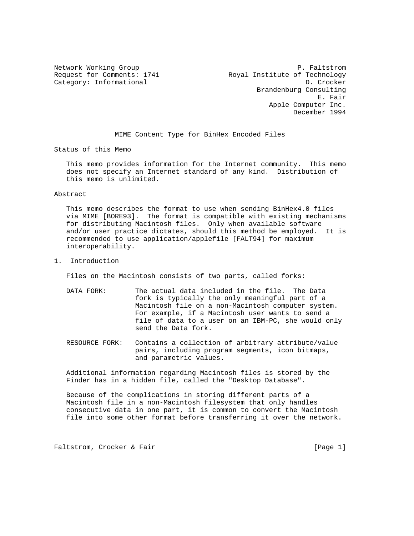Network Working Group P. Faltstrom P. Faltstrom P. Faltstrom P. Faltstrom P. Faltstrom P. Paltstrom P. Paltstrom Request for Comments: 1741 Royal Institute of Technology Category: Informational D. Crocker Brandenburg Consulting E. Fair Apple Computer Inc. December 1994

MIME Content Type for BinHex Encoded Files

Status of this Memo

 This memo provides information for the Internet community. This memo does not specify an Internet standard of any kind. Distribution of this memo is unlimited.

Abstract

 This memo describes the format to use when sending BinHex4.0 files via MIME [BORE93]. The format is compatible with existing mechanisms for distributing Macintosh files. Only when available software and/or user practice dictates, should this method be employed. It is recommended to use application/applefile [FALT94] for maximum interoperability.

1. Introduction

Files on the Macintosh consists of two parts, called forks:

- DATA FORK: The actual data included in the file. The Data fork is typically the only meaningful part of a Macintosh file on a non-Macintosh computer system. For example, if a Macintosh user wants to send a file of data to a user on an IBM-PC, she would only send the Data fork.
- RESOURCE FORK: Contains a collection of arbitrary attribute/value pairs, including program segments, icon bitmaps, and parametric values.

 Additional information regarding Macintosh files is stored by the Finder has in a hidden file, called the "Desktop Database".

 Because of the complications in storing different parts of a Macintosh file in a non-Macintosh filesystem that only handles consecutive data in one part, it is common to convert the Macintosh file into some other format before transferring it over the network.

Faltstrom, Crocker & Fair extended to the control of the set of the page 1]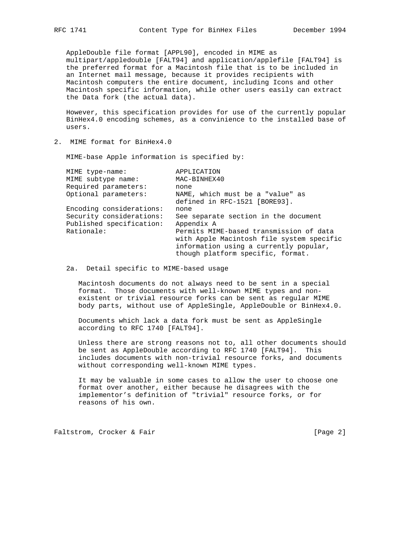AppleDouble file format [APPL90], encoded in MIME as multipart/appledouble [FALT94] and application/applefile [FALT94] is the preferred format for a Macintosh file that is to be included in an Internet mail message, because it provides recipients with Macintosh computers the entire document, including Icons and other Macintosh specific information, while other users easily can extract the Data fork (the actual data).

 However, this specification provides for use of the currently popular BinHex4.0 encoding schemes, as a convinience to the installed base of users.

2. MIME format for BinHex4.0

MIME-base Apple information is specified by:

| MIME type-name:          | APPLICATION                               |
|--------------------------|-------------------------------------------|
| MIME subtype name:       | MAC-BINHEX40                              |
| Required parameters:     | none                                      |
| Optional parameters:     | NAME, which must be a "value" as          |
|                          | defined in RFC-1521 [BORE93].             |
| Encoding considerations: | none                                      |
| Security considerations: | See separate section in the document      |
| Published specification: | Appendix A                                |
| Rationale:               | Permits MIME-based transmission of data   |
|                          | with Apple Macintosh file system specific |
|                          | information using a currently popular,    |
|                          | though platform specific, format.         |

## 2a. Detail specific to MIME-based usage

 Macintosh documents do not always need to be sent in a special format. Those documents with well-known MIME types and non existent or trivial resource forks can be sent as regular MIME body parts, without use of AppleSingle, AppleDouble or BinHex4.0.

 Documents which lack a data fork must be sent as AppleSingle according to RFC 1740 [FALT94].

 Unless there are strong reasons not to, all other documents should be sent as AppleDouble according to RFC 1740 [FALT94]. This includes documents with non-trivial resource forks, and documents without corresponding well-known MIME types.

 It may be valuable in some cases to allow the user to choose one format over another, either because he disagrees with the implementor's definition of "trivial" resource forks, or for reasons of his own.

Faltstrom, Crocker & Fair extended to the control of the set of  $[Page 2]$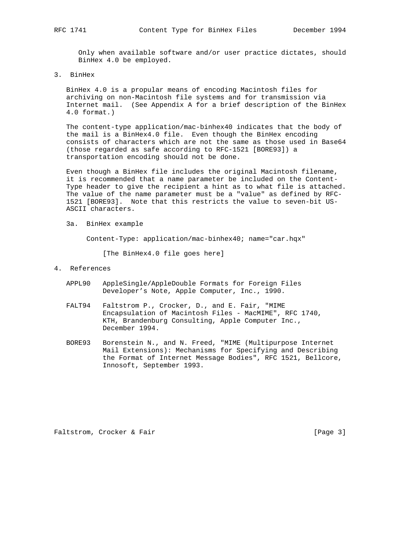Only when available software and/or user practice dictates, should BinHex 4.0 be employed.

3. BinHex

 BinHex 4.0 is a propular means of encoding Macintosh files for archiving on non-Macintosh file systems and for transmission via Internet mail. (See Appendix A for a brief description of the BinHex 4.0 format.)

 The content-type application/mac-binhex40 indicates that the body of the mail is a BinHex4.0 file. Even though the BinHex encoding consists of characters which are not the same as those used in Base64 (those regarded as safe according to RFC-1521 [BORE93]) a transportation encoding should not be done.

 Even though a BinHex file includes the original Macintosh filename, it is recommended that a name parameter be included on the Content- Type header to give the recipient a hint as to what file is attached. The value of the name parameter must be a "value" as defined by RFC- 1521 [BORE93]. Note that this restricts the value to seven-bit US- ASCII characters.

3a. BinHex example

Content-Type: application/mac-binhex40; name="car.hqx"

[The BinHex4.0 file goes here]

## 4. References

- APPL90 AppleSingle/AppleDouble Formats for Foreign Files Developer's Note, Apple Computer, Inc., 1990.
- FALT94 Faltstrom P., Crocker, D., and E. Fair, "MIME Encapsulation of Macintosh Files - MacMIME", RFC 1740, KTH, Brandenburg Consulting, Apple Computer Inc., December 1994.
- BORE93 Borenstein N., and N. Freed, "MIME (Multipurpose Internet Mail Extensions): Mechanisms for Specifying and Describing the Format of Internet Message Bodies", RFC 1521, Bellcore, Innosoft, September 1993.

Faltstrom, Crocker & Fair and The Contract of Team (Page 3)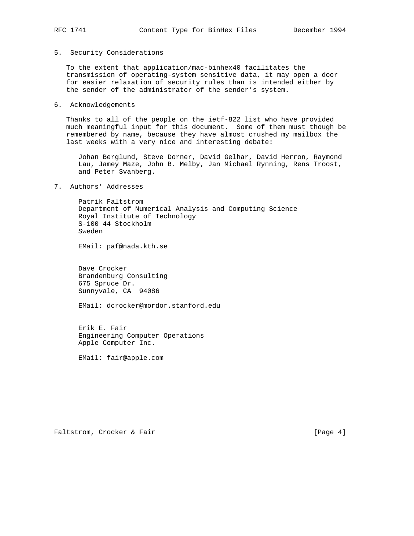5. Security Considerations

 To the extent that application/mac-binhex40 facilitates the transmission of operating-system sensitive data, it may open a door for easier relaxation of security rules than is intended either by the sender of the administrator of the sender's system.

6. Acknowledgements

 Thanks to all of the people on the ietf-822 list who have provided much meaningful input for this document. Some of them must though be remembered by name, because they have almost crushed my mailbox the last weeks with a very nice and interesting debate:

 Johan Berglund, Steve Dorner, David Gelhar, David Herron, Raymond Lau, Jamey Maze, John B. Melby, Jan Michael Rynning, Rens Troost, and Peter Svanberg.

7. Authors' Addresses

 Patrik Faltstrom Department of Numerical Analysis and Computing Science Royal Institute of Technology S-100 44 Stockholm Sweden

EMail: paf@nada.kth.se

 Dave Crocker Brandenburg Consulting 675 Spruce Dr. Sunnyvale, CA 94086

EMail: dcrocker@mordor.stanford.edu

 Erik E. Fair Engineering Computer Operations Apple Computer Inc.

EMail: fair@apple.com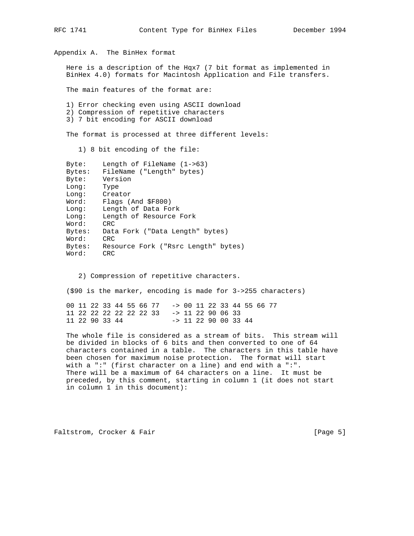Appendix A. The BinHex format Here is a description of the Hqx7 (7 bit format as implemented in BinHex 4.0) formats for Macintosh Application and File transfers. The main features of the format are: 1) Error checking even using ASCII download 2) Compression of repetitive characters 3) 7 bit encoding for ASCII download The format is processed at three different levels: 1) 8 bit encoding of the file: Byte: Length of FileName (1->63) Bytes: FileName ("Length" bytes) Byte: Version Long: Type Long: Creator Word: Flags (And \$F800) Long: Length of Data Fork Long: Length of Resource Fork Word: CRC Bytes: Data Fork ("Data Length" bytes) Word: CRC Bytes: Resource Fork ("Rsrc Length" bytes) Word: CRC 2) Compression of repetitive characters. (\$90 is the marker, encoding is made for 3->255 characters) 00 11 22 33 44 55 66 77 -> 00 11 22 33 44 55 66 77

 11 22 90 33 44 -> 11 22 90 00 33 44 The whole file is considered as a stream of bits. This stream will be divided in blocks of 6 bits and then converted to one of 64 characters contained in a table. The characters in this table have been chosen for maximum noise protection. The format will start with a ":" (first character on a line) and end with a ":". There will be a maximum of 64 characters on a line. It must be preceded, by this comment, starting in column 1 (it does not start

11 22 22 22 22 22 22 33 -> 11 22 90 06 33

Faltstrom, Crocker & Fair extended to the control of the set of  $[Page 5]$ 

in column 1 in this document):